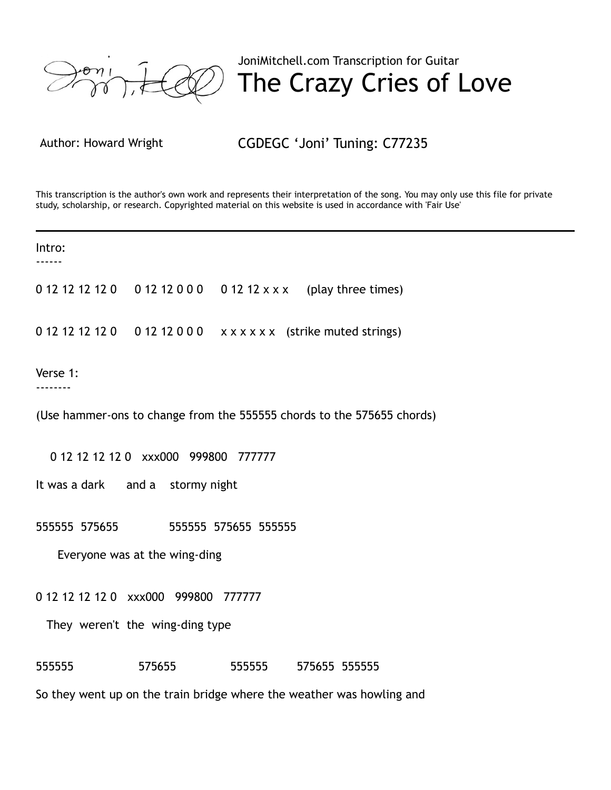

JoniMitchell.com Transcription for Guitar The Crazy Cries of Love

Author: Howard Wright **CGDEGC 'Joni' Tuning: C77235** 

This transcription is the author's own work and represents their interpretation of the song. You may only use this file for private study, scholarship, or research. Copyrighted material on this website is used in accordance with 'Fair Use'

Intro: ------ 0 12 12 12 12 0 0 12 12 0 0 0 0 12 12 x x x (play three times) 0 12 12 12 12 0 0 12 12 0 0 0 x x x x x x (strike muted strings) Verse 1: -------- (Use hammer-ons to change from the 555555 chords to the 575655 chords) 0 12 12 12 12 0 xxx000 999800 777777 It was a dark and a stormy night 555555 575655 555555 575655 555555 Everyone was at the wing-ding 0 12 12 12 12 0 xxx000 999800 777777 They weren't the wing-ding type 555555 575655 555555 575655 555555 So they went up on the train bridge where the weather was howling and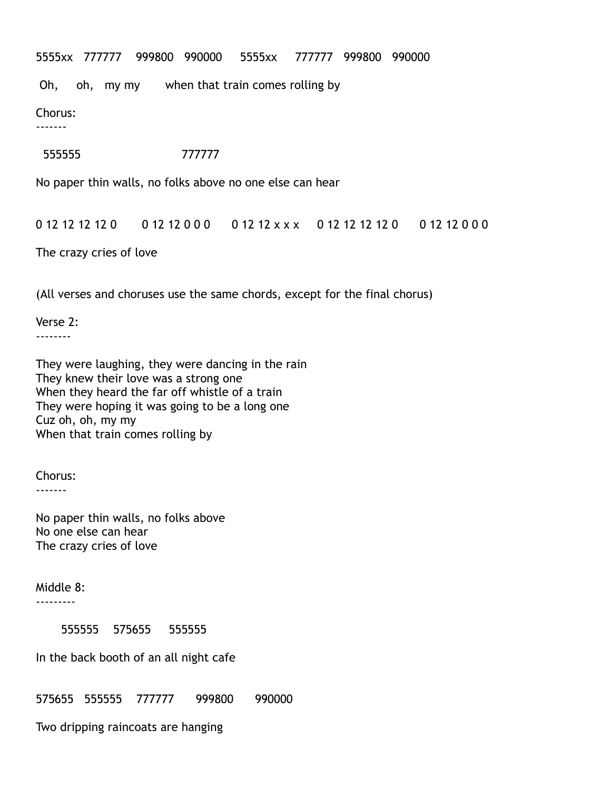5555xx 777777 999800 990000 5555xx 777777 999800 990000

Oh, oh, my my when that train comes rolling by

Chorus:

-------

555555 777777

No paper thin walls, no folks above no one else can hear

0 12 12 12 12 0 0 12 12 0 0 0 0 0 12 12 x x x 0 12 12 12 12 0 0 0 12 12 0 0 0

The crazy cries of love

(All verses and choruses use the same chords, except for the final chorus)

Verse 2: --------

They were laughing, they were dancing in the rain They knew their love was a strong one When they heard the far off whistle of a train They were hoping it was going to be a long one Cuz oh, oh, my my When that train comes rolling by

Chorus:

-------

No paper thin walls, no folks above No one else can hear The crazy cries of love

Middle 8:

---------

555555 575655 555555

In the back booth of an all night cafe

575655 555555 777777 999800 990000

Two dripping raincoats are hanging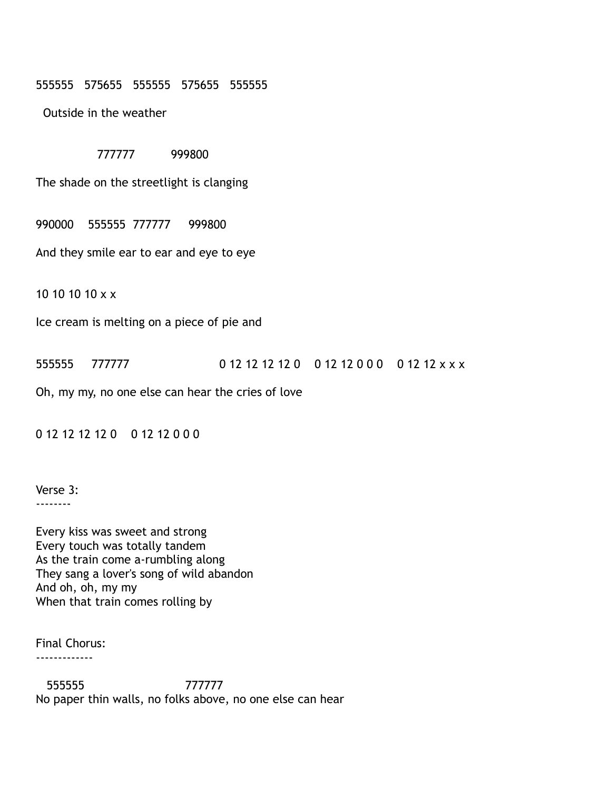555555 575655 555555 575655 555555

Outside in the weather

777777 999800

The shade on the streetlight is clanging

990000 555555 777777 999800

And they smile ear to ear and eye to eye

10 10 10 10 x x

Ice cream is melting on a piece of pie and

555555 777777 0 12 12 12 12 0 0 12 12 0 0 0 0 12 12 x x x

Oh, my my, no one else can hear the cries of love

0 12 12 12 12 0 0 12 12 0 0 0

Verse 3:

--------

Every kiss was sweet and strong Every touch was totally tandem As the train come a-rumbling along They sang a lover's song of wild abandon And oh, oh, my my When that train comes rolling by

Final Chorus: -------------

 555555 777777 No paper thin walls, no folks above, no one else can hear